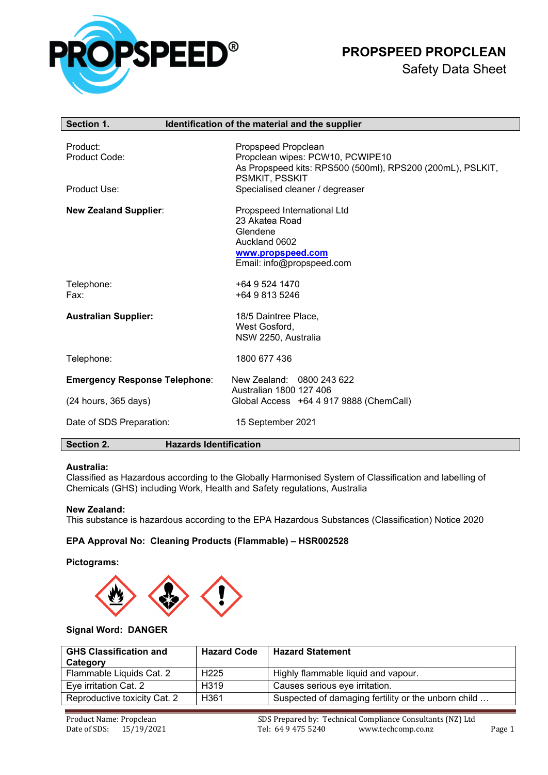

# **PROPSPEED PROPCLEAN**

| Section 1.                           | Identification of the material and the supplier            |
|--------------------------------------|------------------------------------------------------------|
|                                      |                                                            |
| Product:                             | Propspeed Propclean                                        |
| Product Code:                        | Propclean wipes: PCW10, PCWIPE10                           |
|                                      | As Propspeed kits: RPS500 (500ml), RPS200 (200mL), PSLKIT, |
|                                      | PSMKIT, PSSKIT                                             |
| Product Use:                         | Specialised cleaner / degreaser                            |
| <b>New Zealand Supplier:</b>         | Propspeed International Ltd                                |
|                                      | 23 Akatea Road                                             |
|                                      | Glendene                                                   |
|                                      | Auckland 0602                                              |
|                                      | www.propspeed.com                                          |
|                                      | Email: info@propspeed.com                                  |
| Telephone:                           | +64 9 524 1470                                             |
| Fax:                                 | +64 9 813 5246                                             |
|                                      |                                                            |
| <b>Australian Supplier:</b>          | 18/5 Daintree Place,                                       |
|                                      | West Gosford,                                              |
|                                      | NSW 2250, Australia                                        |
| Telephone:                           | 1800 677 436                                               |
|                                      |                                                            |
| <b>Emergency Response Telephone:</b> | New Zealand: 0800 243 622                                  |
|                                      | Australian 1800 127 406                                    |
| (24 hours, 365 days)                 | Global Access +64 4 917 9888 (ChemCall)                    |
| Date of SDS Preparation:             | 15 September 2021                                          |
| Section 2.                           | <b>Hazards Identification</b>                              |

#### **Australia:**

Classified as Hazardous according to the Globally Harmonised System of Classification and labelling of Chemicals (GHS) including Work, Health and Safety regulations, Australia

#### **New Zealand:**

This substance is hazardous according to the EPA Hazardous Substances (Classification) Notice 2020

# **EPA Approval No: Cleaning Products (Flammable) – HSR002528**

### **Pictograms:**



# **Signal Word: DANGER**

| <b>GHS Classification and</b><br>Category | <b>Hazard Code</b> | <b>Hazard Statement</b>                             |
|-------------------------------------------|--------------------|-----------------------------------------------------|
| Flammable Liquids Cat. 2                  | H <sub>225</sub>   | Highly flammable liquid and vapour.                 |
| Eye irritation Cat. 2                     | H <sub>319</sub>   | Causes serious eye irritation.                      |
| Reproductive toxicity Cat. 2              | H <sub>361</sub>   | Suspected of damaging fertility or the unborn child |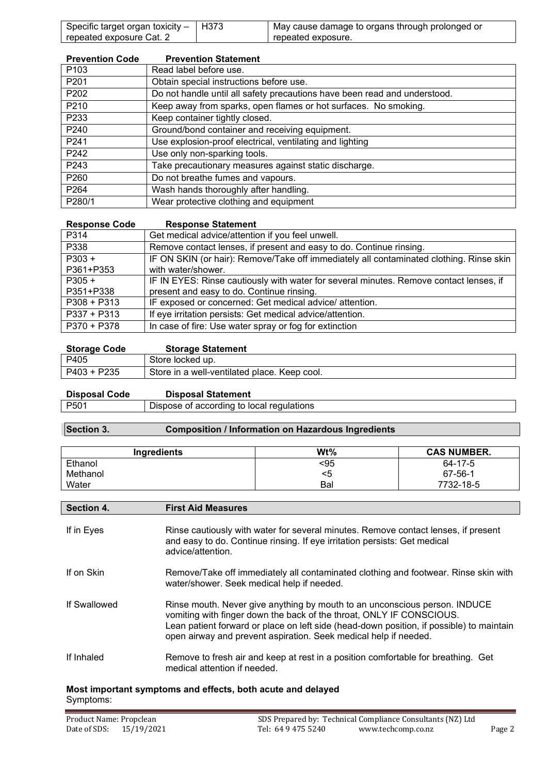| Specific target organ toxicity $-$   H373 | May cause damage to organs through prolonged or |
|-------------------------------------------|-------------------------------------------------|
| repeated exposure Cat. 2                  | repeated exposure.                              |

| <b>Prevention Code</b> | <b>Prevention Statement</b>                                               |
|------------------------|---------------------------------------------------------------------------|
| P <sub>103</sub>       | Read label before use.                                                    |
| P <sub>201</sub>       | Obtain special instructions before use.                                   |
| P <sub>202</sub>       | Do not handle until all safety precautions have been read and understood. |
| P210                   | Keep away from sparks, open flames or hot surfaces. No smoking.           |
| P233                   | Keep container tightly closed.                                            |
| P240                   | Ground/bond container and receiving equipment.                            |
| P241                   | Use explosion-proof electrical, ventilating and lighting                  |
| P242                   | Use only non-sparking tools.                                              |
| P243                   | Take precautionary measures against static discharge.                     |
| P260                   | Do not breathe fumes and vapours.                                         |
| P <sub>264</sub>       | Wash hands thoroughly after handling.                                     |
| P280/1                 | Wear protective clothing and equipment                                    |

| <b>Response Code</b> | <b>Response Statement</b>                                                               |
|----------------------|-----------------------------------------------------------------------------------------|
| P314                 | Get medical advice/attention if you feel unwell.                                        |
| P338                 | Remove contact lenses, if present and easy to do. Continue rinsing.                     |
| $P303 +$             | IF ON SKIN (or hair): Remove/Take off immediately all contaminated clothing. Rinse skin |
| P361+P353            | with water/shower.                                                                      |
| $P305 +$             | IF IN EYES: Rinse cautiously with water for several minutes. Remove contact lenses, if  |
| P351+P338            | present and easy to do. Continue rinsing.                                               |
| $P308 + P313$        | IF exposed or concerned: Get medical advice/ attention.                                 |
| $P337 + P313$        | If eye irritation persists: Get medical advice/attention.                               |
| P370 + P378          | In case of fire: Use water spray or fog for extinction                                  |

| <b>Storage Code</b> | <b>Storage Statement</b>                     |
|---------------------|----------------------------------------------|
| P405                | Store locked up.                             |
| P403 + P235         | Store in a well-ventilated place. Keep cool. |

| <b>Disposal Code</b> | <b>Disposal Statement</b>                 |
|----------------------|-------------------------------------------|
| P501                 | Dispose of according to local regulations |

# **Section 3. Composition / Information on Hazardous Ingredients**

| <b>Ingredients</b> | $Wt\%$ | <b>CAS NUMBER.</b> |
|--------------------|--------|--------------------|
| Ethanol            | <95    | 64-17-5            |
| Methanol           | <5     | 67-56-1            |
| Water              | Bal    | 7732-18-5          |

| Section 4.   | <b>First Aid Measures</b>                                                                                                                                                                                                                                                                                          |
|--------------|--------------------------------------------------------------------------------------------------------------------------------------------------------------------------------------------------------------------------------------------------------------------------------------------------------------------|
| If in Eyes   | Rinse cautiously with water for several minutes. Remove contact lenses, if present<br>and easy to do. Continue rinsing. If eye irritation persists: Get medical<br>advice/attention.                                                                                                                               |
| If on Skin   | Remove/Take off immediately all contaminated clothing and footwear. Rinse skin with<br>water/shower. Seek medical help if needed.                                                                                                                                                                                  |
| If Swallowed | Rinse mouth. Never give anything by mouth to an unconscious person. INDUCE<br>vomiting with finger down the back of the throat, ONLY IF CONSCIOUS.<br>Lean patient forward or place on left side (head-down position, if possible) to maintain<br>open airway and prevent aspiration. Seek medical help if needed. |
| If Inhaled   | Remove to fresh air and keep at rest in a position comfortable for breathing. Get<br>medical attention if needed.                                                                                                                                                                                                  |

# **Most important symptoms and effects, both acute and delayed** Symptoms: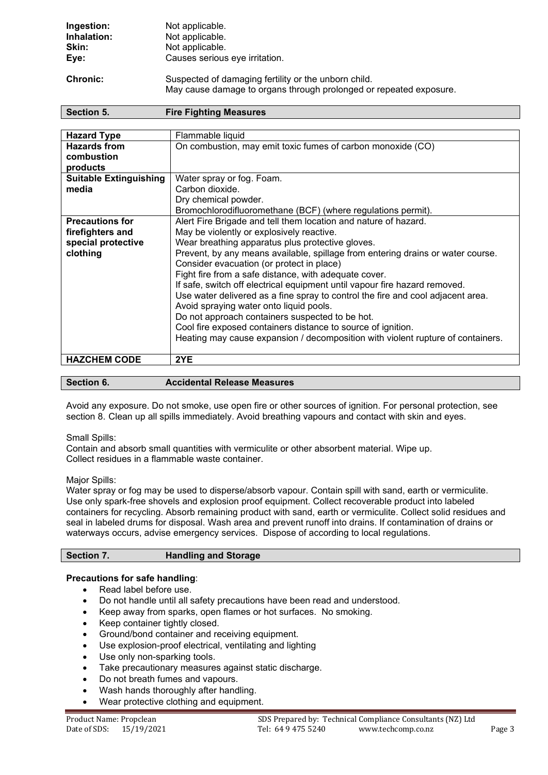| Ingestion:      | Not applicable.                                                                                                            |
|-----------------|----------------------------------------------------------------------------------------------------------------------------|
| Inhalation:     | Not applicable.                                                                                                            |
| Skin:           | Not applicable.                                                                                                            |
| Eye:            | Causes serious eye irritation.                                                                                             |
| <b>Chronic:</b> | Suspected of damaging fertility or the unborn child.<br>May cause damage to organs through prolonged or repeated exposure. |

| Section 5.<br><b>Fire Fighting Measures</b> |                                                                                 |
|---------------------------------------------|---------------------------------------------------------------------------------|
|                                             |                                                                                 |
| <b>Hazard Type</b>                          | Flammable liquid                                                                |
| <b>Hazards from</b>                         | On combustion, may emit toxic fumes of carbon monoxide (CO)                     |
| combustion                                  |                                                                                 |
| products                                    |                                                                                 |
| <b>Suitable Extinguishing</b>               | Water spray or fog. Foam.                                                       |
| media                                       | Carbon dioxide.                                                                 |
|                                             | Dry chemical powder.                                                            |
|                                             | Bromochlorodifluoromethane (BCF) (where regulations permit).                    |
| <b>Precautions for</b>                      | Alert Fire Brigade and tell them location and nature of hazard.                 |
| firefighters and                            | May be violently or explosively reactive.                                       |
| special protective                          | Wear breathing apparatus plus protective gloves.                                |
| clothing                                    | Prevent, by any means available, spillage from entering drains or water course. |
|                                             | Consider evacuation (or protect in place)                                       |
|                                             | Fight fire from a safe distance, with adequate cover.                           |
|                                             | If safe, switch off electrical equipment until vapour fire hazard removed.      |
|                                             | Use water delivered as a fine spray to control the fire and cool adjacent area. |
|                                             | Avoid spraying water onto liquid pools.                                         |
|                                             | Do not approach containers suspected to be hot.                                 |
|                                             | Cool fire exposed containers distance to source of ignition.                    |
|                                             | Heating may cause expansion / decomposition with violent rupture of containers. |
| <b>HAZCHEM CODE</b>                         | 2YE                                                                             |
|                                             |                                                                                 |

| <b>Section 6.</b> | <b>Accidental Release Measures</b> |
|-------------------|------------------------------------|
|                   |                                    |

Avoid any exposure. Do not smoke, use open fire or other sources of ignition. For personal protection, see section 8. Clean up all spills immediately. Avoid breathing vapours and contact with skin and eyes.

Small Spills:

Contain and absorb small quantities with vermiculite or other absorbent material. Wipe up. Collect residues in a flammable waste container.

# Major Spills:

Water spray or fog may be used to disperse/absorb vapour. Contain spill with sand, earth or vermiculite. Use only spark-free shovels and explosion proof equipment. Collect recoverable product into labeled containers for recycling. Absorb remaining product with sand, earth or vermiculite. Collect solid residues and seal in labeled drums for disposal. Wash area and prevent runoff into drains. If contamination of drains or waterways occurs, advise emergency services. Dispose of according to local regulations.

## **Section 7. Handling and Storage**

# **Precautions for safe handling**:

- Read label before use.
- Do not handle until all safety precautions have been read and understood.
- Keep away from sparks, open flames or hot surfaces. No smoking.
- Keep container tightly closed.
- Ground/bond container and receiving equipment.
- Use explosion-proof electrical, ventilating and lighting
- Use only non-sparking tools.
- Take precautionary measures against static discharge.
- Do not breath fumes and vapours.
- Wash hands thoroughly after handling.
- Wear protective clothing and equipment.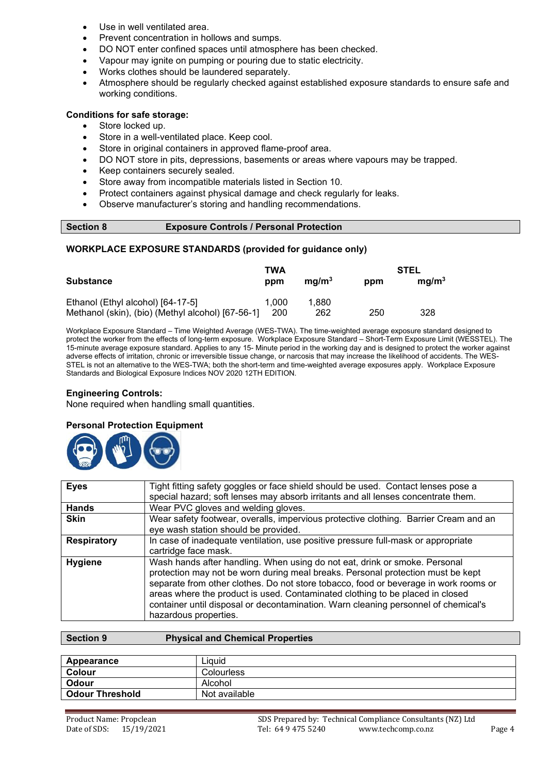- Use in well ventilated area.
- Prevent concentration in hollows and sumps.
- DO NOT enter confined spaces until atmosphere has been checked.
- Vapour may ignite on pumping or pouring due to static electricity.
- Works clothes should be laundered separately.
- Atmosphere should be regularly checked against established exposure standards to ensure safe and working conditions.

## **Conditions for safe storage:**

- Store locked up.
- Store in a well-ventilated place. Keep cool.
- Store in original containers in approved flame-proof area.
- DO NOT store in pits, depressions, basements or areas where vapours may be trapped.
- Keep containers securely sealed.
- Store away from incompatible materials listed in Section 10.
- Protect containers against physical damage and check regularly for leaks.
- Observe manufacturer's storing and handling recommendations.

```
Section 8 Exposure Controls / Personal Protection
```
## **WORKPLACE EXPOSURE STANDARDS (provided for guidance only)**

|                                                   | TWA   |                   | STEL |                   |
|---------------------------------------------------|-------|-------------------|------|-------------------|
| <b>Substance</b>                                  | ppm   | ma/m <sup>3</sup> | ppm  | ma/m <sup>3</sup> |
| Ethanol (Ethyl alcohol) [64-17-5]                 | 1.000 | 1.880             |      |                   |
| Methanol (skin), (bio) (Methyl alcohol) [67-56-1] | 200   | 262               | 250  | 328               |

Workplace Exposure Standard – Time Weighted Average (WES-TWA). The time-weighted average exposure standard designed to protect the worker from the effects of long-term exposure. Workplace Exposure Standard – Short-Term Exposure Limit (WESSTEL). The 15-minute average exposure standard. Applies to any 15- Minute period in the working day and is designed to protect the worker against adverse effects of irritation, chronic or irreversible tissue change, or narcosis that may increase the likelihood of accidents. The WES-STEL is not an alternative to the WES-TWA; both the short-term and time-weighted average exposures apply. Workplace Exposure Standards and Biological Exposure Indices NOV 2020 12TH EDITION.

#### **Engineering Controls:**

None required when handling small quantities.

# **Personal Protection Equipment**



| <b>Eyes</b>        | Tight fitting safety goggles or face shield should be used. Contact lenses pose a<br>special hazard; soft lenses may absorb irritants and all lenses concentrate them.                                                                                                                                                                                                                                                                                |
|--------------------|-------------------------------------------------------------------------------------------------------------------------------------------------------------------------------------------------------------------------------------------------------------------------------------------------------------------------------------------------------------------------------------------------------------------------------------------------------|
| <b>Hands</b>       | Wear PVC gloves and welding gloves.                                                                                                                                                                                                                                                                                                                                                                                                                   |
| <b>Skin</b>        | Wear safety footwear, overalls, impervious protective clothing. Barrier Cream and an<br>eye wash station should be provided.                                                                                                                                                                                                                                                                                                                          |
| <b>Respiratory</b> | In case of inadequate ventilation, use positive pressure full-mask or appropriate<br>cartridge face mask.                                                                                                                                                                                                                                                                                                                                             |
| <b>Hygiene</b>     | Wash hands after handling. When using do not eat, drink or smoke. Personal<br>protection may not be worn during meal breaks. Personal protection must be kept<br>separate from other clothes. Do not store tobacco, food or beverage in work rooms or<br>areas where the product is used. Contaminated clothing to be placed in closed<br>container until disposal or decontamination. Warn cleaning personnel of chemical's<br>hazardous properties. |

| Section 9              | <b>Physical and Chemical Properties</b> |
|------------------------|-----------------------------------------|
|                        |                                         |
| Appearance             | Liauid                                  |
| Colour                 | <b>Colourless</b>                       |
| Odour                  | Alcohol                                 |
| <b>Odour Threshold</b> | Not available                           |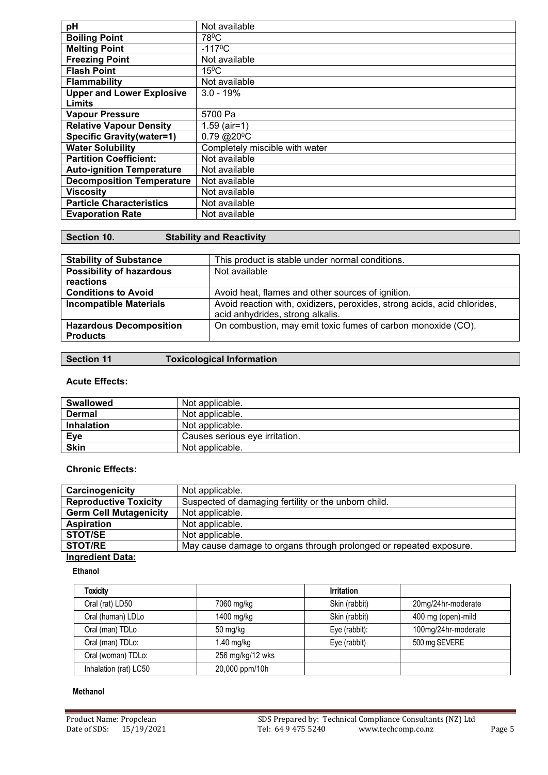| pH                               | Not available                  |
|----------------------------------|--------------------------------|
| <b>Boiling Point</b>             | 78 <sup>°</sup> C              |
| <b>Melting Point</b>             | $-117^{\circ}C$                |
| <b>Freezing Point</b>            | Not available                  |
| <b>Flash Point</b>               | $15^{\circ}$ C                 |
| <b>Flammability</b>              | Not available                  |
| <b>Upper and Lower Explosive</b> | $3.0 - 19%$                    |
| Limits                           |                                |
| <b>Vapour Pressure</b>           | 5700 Pa                        |
| <b>Relative Vapour Density</b>   | $1.59$ (air=1)                 |
| <b>Specific Gravity(water=1)</b> | $0.79 \ (20^{\circ}C)$         |
| <b>Water Solubility</b>          | Completely miscible with water |
| <b>Partition Coefficient:</b>    | Not available                  |
| <b>Auto-ignition Temperature</b> | Not available                  |
| <b>Decomposition Temperature</b> | Not available                  |
| <b>Viscosity</b>                 | Not available                  |
| <b>Particle Characteristics</b>  | Not available                  |
| <b>Evaporation Rate</b>          | Not available                  |

| Section 10. | <b>Stability and Reactivity</b> |
|-------------|---------------------------------|
|-------------|---------------------------------|

| <b>Stability of Substance</b>   | This product is stable under normal conditions.                          |
|---------------------------------|--------------------------------------------------------------------------|
| <b>Possibility of hazardous</b> | Not available                                                            |
| reactions                       |                                                                          |
| <b>Conditions to Avoid</b>      | Avoid heat, flames and other sources of ignition.                        |
| <b>Incompatible Materials</b>   | Avoid reaction with, oxidizers, peroxides, strong acids, acid chlorides, |
|                                 | acid anhydrides, strong alkalis.                                         |
| <b>Hazardous Decomposition</b>  | On combustion, may emit toxic fumes of carbon monoxide (CO).             |
| <b>Products</b>                 |                                                                          |
|                                 |                                                                          |

| <b>Section 11</b> | <b>Toxicological Information</b> |
|-------------------|----------------------------------|
|-------------------|----------------------------------|

# **Acute Effects:**

| <b>Swallowed</b>  | Not applicable.                |  |
|-------------------|--------------------------------|--|
| Dermal            | Not applicable.                |  |
| <b>Inhalation</b> | Not applicable.                |  |
| Eye               | Causes serious eve irritation. |  |
| <b>Skin</b>       | Not applicable.                |  |

# **Chronic Effects:**

| Carcinogenicity               | Not applicable.                                                    |  |
|-------------------------------|--------------------------------------------------------------------|--|
| <b>Reproductive Toxicity</b>  | Suspected of damaging fertility or the unborn child.               |  |
| <b>Germ Cell Mutagenicity</b> | Not applicable.                                                    |  |
| <b>Aspiration</b>             | Not applicable.                                                    |  |
| <b>STOT/SE</b>                | Not applicable.                                                    |  |
| <b>STOT/RE</b>                | May cause damage to organs through prolonged or repeated exposure. |  |
|                               |                                                                    |  |

# **Ingredient Data:**

**Ethanol**

| <b>Toxicity</b>       |                  | <b>Irritation</b> |                     |
|-----------------------|------------------|-------------------|---------------------|
| Oral (rat) LD50       | 7060 mg/kg       | Skin (rabbit)     | 20mg/24hr-moderate  |
| Oral (human) LDLo     | 1400 mg/kg       | Skin (rabbit)     | 400 mg (open)-mild  |
| Oral (man) TDLo       | 50 mg/kg         | Eye (rabbit):     | 100mg/24hr-moderate |
| Oral (man) TDLo:      | $1.40$ mg/kg     | Eye (rabbit)      | 500 mg SEVERE       |
| Oral (woman) TDLo:    | 256 mg/kg/12 wks |                   |                     |
| Inhalation (rat) LC50 | 20,000 ppm/10h   |                   |                     |

# **Methanol**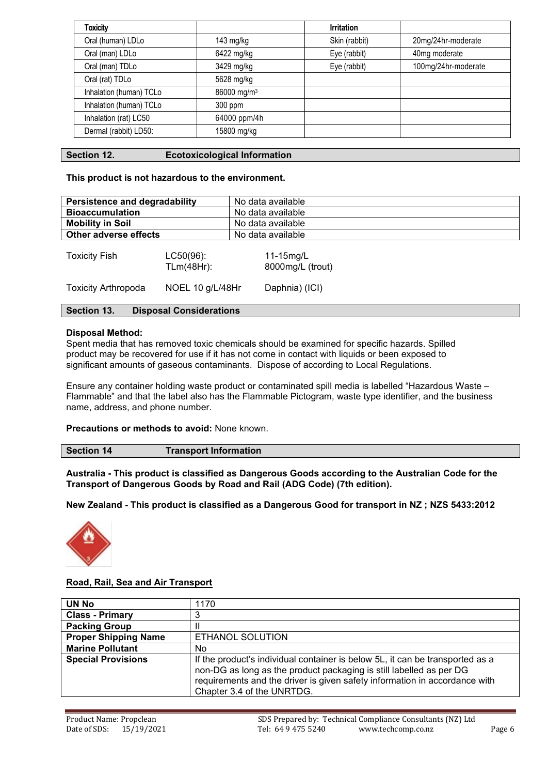| <b>Toxicity</b>         |                         | <b>Irritation</b> |                     |
|-------------------------|-------------------------|-------------------|---------------------|
| Oral (human) LDLo       | 143 mg/kg               | Skin (rabbit)     | 20mg/24hr-moderate  |
| Oral (man) LDLo         | 6422 mg/kg              | Eye (rabbit)      | 40mg moderate       |
| Oral (man) TDLo         | 3429 mg/kg              | Eye (rabbit)      | 100mg/24hr-moderate |
| Oral (rat) TDLo         | 5628 mg/kg              |                   |                     |
| Inhalation (human) TCLo | 86000 mg/m <sup>3</sup> |                   |                     |
| Inhalation (human) TCLo | 300 ppm                 |                   |                     |
| Inhalation (rat) LC50   | 64000 ppm/4h            |                   |                     |
| Dermal (rabbit) LD50:   | 15800 mg/kg             |                   |                     |

## **Section 12. Ecotoxicological Information**

### **This product is not hazardous to the environment.**

| <b>Persistence and degradability</b> |                                | No data available             |  |
|--------------------------------------|--------------------------------|-------------------------------|--|
| <b>Bioaccumulation</b>               |                                | No data available             |  |
| <b>Mobility in Soil</b>              |                                | No data available             |  |
| Other adverse effects                |                                | No data available             |  |
| <b>Toxicity Fish</b>                 | $LC50(96)$ :<br>$T Lm(48Hr)$ : | 11-15mg/L<br>8000mg/L (trout) |  |
| <b>Toxicity Arthropoda</b>           | NOEL 10 g/L/48Hr               | Daphnia) (ICI)                |  |

# **Section 13. Disposal Considerations**

#### **Disposal Method:**

Spent media that has removed toxic chemicals should be examined for specific hazards. Spilled product may be recovered for use if it has not come in contact with liquids or been exposed to significant amounts of gaseous contaminants. Dispose of according to Local Regulations.

Ensure any container holding waste product or contaminated spill media is labelled "Hazardous Waste – Flammable" and that the label also has the Flammable Pictogram, waste type identifier, and the business name, address, and phone number.

**Precautions or methods to avoid:** None known.

| <b>Transport Information</b> |
|------------------------------|
|                              |

**Australia - This product is classified as Dangerous Goods according to the Australian Code for the Transport of Dangerous Goods by Road and Rail (ADG Code) (7th edition).**

**New Zealand - This product is classified as a Dangerous Good for transport in NZ ; NZS 5433:2012**



# **Road, Rail, Sea and Air Transport**

| <b>UN No</b>                | 1170                                                                                                                                                                                                                                                             |
|-----------------------------|------------------------------------------------------------------------------------------------------------------------------------------------------------------------------------------------------------------------------------------------------------------|
| <b>Class - Primary</b>      | 3                                                                                                                                                                                                                                                                |
| <b>Packing Group</b>        |                                                                                                                                                                                                                                                                  |
| <b>Proper Shipping Name</b> | ETHANOL SOLUTION                                                                                                                                                                                                                                                 |
| <b>Marine Pollutant</b>     | No                                                                                                                                                                                                                                                               |
| <b>Special Provisions</b>   | If the product's individual container is below 5L, it can be transported as a<br>non-DG as long as the product packaging is still labelled as per DG<br>requirements and the driver is given safety information in accordance with<br>Chapter 3.4 of the UNRTDG. |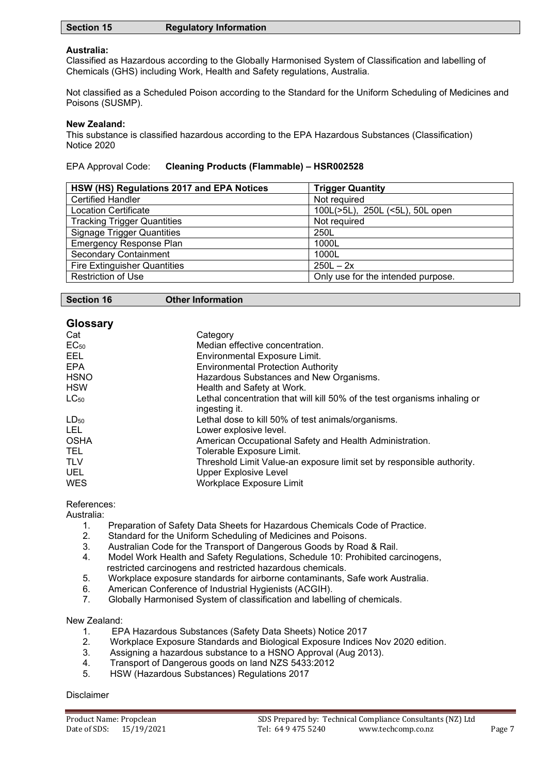| <b>Section 15</b> | <b>Regulatory Information</b> |
|-------------------|-------------------------------|
|-------------------|-------------------------------|

## **Australia:**

Classified as Hazardous according to the Globally Harmonised System of Classification and labelling of Chemicals (GHS) including Work, Health and Safety regulations, Australia.

Not classified as a Scheduled Poison according to the Standard for the Uniform Scheduling of Medicines and Poisons (SUSMP).

#### **New Zealand:**

This substance is classified hazardous according to the EPA Hazardous Substances (Classification) Notice 2020

## EPA Approval Code: **Cleaning Products (Flammable) – HSR002528**

| HSW (HS) Regulations 2017 and EPA Notices | <b>Trigger Quantity</b>            |
|-------------------------------------------|------------------------------------|
| <b>Certified Handler</b>                  | Not required                       |
| <b>Location Certificate</b>               | 100L(>5L), 250L (<5L), 50L open    |
| <b>Tracking Trigger Quantities</b>        | Not required                       |
| <b>Signage Trigger Quantities</b>         | 250L                               |
| <b>Emergency Response Plan</b>            | 1000L                              |
| <b>Secondary Containment</b>              | 1000L                              |
| <b>Fire Extinguisher Quantities</b>       | $250L - 2x$                        |
| <b>Restriction of Use</b>                 | Only use for the intended purpose. |

| <b>Glossary</b> |                                                                           |
|-----------------|---------------------------------------------------------------------------|
| Cat             | Category                                                                  |
| $EC_{50}$       | Median effective concentration.                                           |
| EEL.            | Environmental Exposure Limit.                                             |
| <b>EPA</b>      | <b>Environmental Protection Authority</b>                                 |
| <b>HSNO</b>     | Hazardous Substances and New Organisms.                                   |
| <b>HSW</b>      | Health and Safety at Work.                                                |
| $LC_{50}$       | Lethal concentration that will kill 50% of the test organisms inhaling or |
|                 | ingesting it.                                                             |
| $LD_{50}$       | Lethal dose to kill 50% of test animals/organisms.                        |
| LEL.            | Lower explosive level.                                                    |
| <b>OSHA</b>     | American Occupational Safety and Health Administration.                   |
| TEL.            | Tolerable Exposure Limit.                                                 |
| <b>TLV</b>      | Threshold Limit Value-an exposure limit set by responsible authority.     |
| <b>UEL</b>      | <b>Upper Explosive Level</b>                                              |
| <b>WES</b>      | Workplace Exposure Limit                                                  |
|                 |                                                                           |

References:

Australia:<br>1.

- Preparation of Safety Data Sheets for Hazardous Chemicals Code of Practice.
- 2. Standard for the Uniform Scheduling of Medicines and Poisons.
- 3. Australian Code for the Transport of Dangerous Goods by Road & Rail.
- 4. Model Work Health and Safety Regulations, Schedule 10: Prohibited carcinogens, restricted carcinogens and restricted hazardous chemicals.
- 5. Workplace exposure standards for airborne contaminants, Safe work Australia.<br>6. American Conference of Industrial Hygienists (ACGIH).
- 6. American Conference of Industrial Hygienists (ACGIH).
- 7. Globally Harmonised System of classification and labelling of chemicals.

New Zealand:

- 1. EPA Hazardous Substances (Safety Data Sheets) Notice 2017<br>2. Workplace Exposure Standards and Biological Exposure Indice
- 2. Workplace Exposure Standards and Biological Exposure Indices Nov 2020 edition.<br>3. Assigning a hazardous substance to a HSNO Approval (Aug 2013).
- Assigning a hazardous substance to a HSNO Approval (Aug 2013).
- 4. Transport of Dangerous goods on land NZS 5433:2012
- 5. HSW (Hazardous Substances) Regulations 2017

#### Disclaimer